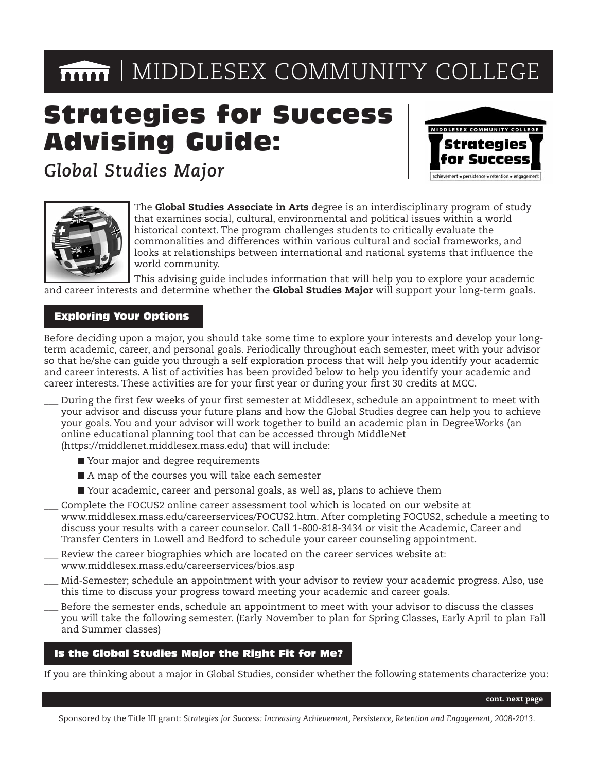# **MIDDLESEX COMMUNITY COLLEGE**

# Strategies for Success Advising Guide:



*Global Studies Major*



The **Global Studies Associate in Arts** degree is an interdisciplinary program of study that examines social, cultural, environmental and political issues within a world historical context. The program challenges students to critically evaluate the commonalities and differences within various cultural and social frameworks, and looks at relationships between international and national systems that influence the world community.

This advising guide includes information that will help you to explore your academic and career interests and determine whether the **Global Studies Major** will support your long-term goals.

## Exploring Your Options

Before deciding upon a major, you should take some time to explore your interests and develop your longterm academic, career, and personal goals. Periodically throughout each semester, meet with your advisor so that he/she can guide you through a self exploration process that will help you identify your academic and career interests. A list of activities has been provided below to help you identify your academic and career interests. These activities are for your first year or during your first 30 credits at MCC.

- During the first few weeks of your first semester at Middlesex, schedule an appointment to meet with your advisor and discuss your future plans and how the Global Studies degree can help you to achieve your goals. You and your advisor will work together to build an academic plan in DegreeWorks (an online educational planning tool that can be accessed through MiddleNet (https://middlenet.middlesex.mass.edu) that will include:
	- Your major and degree requirements
	- A map of the courses you will take each semester
	- Your academic, career and personal goals, as well as, plans to achieve them
- Complete the FOCUS2 online career assessment tool which is located on our website at www.middlesex.mass.edu/careerservices/FOCUS2.htm. After completing FOCUS2, schedule a meeting to discuss your results with a career counselor. Call 1-800-818-3434 or visit the Academic, Career and Transfer Centers in Lowell and Bedford to schedule your career counseling appointment.
- Review the career biographies which are located on the career services website at: www.middlesex.mass.edu/careerservices/bios.asp
- \_\_\_ Mid-Semester; schedule an appointment with your advisor to review your academic progress. Also, use this time to discuss your progress toward meeting your academic and career goals.
	- Before the semester ends, schedule an appointment to meet with your advisor to discuss the classes you will take the following semester. (Early November to plan for Spring Classes, Early April to plan Fall and Summer classes)

### Is the Global Studies Major the Right Fit for Me?

If you are thinking about a major in Global Studies, consider whether the following statements characterize you:

**cont. next page**

Sponsored by the Title III grant: *Strategies for Success: Increasing Achievement, Persistence, Retention and Engagement, 2008-2013*.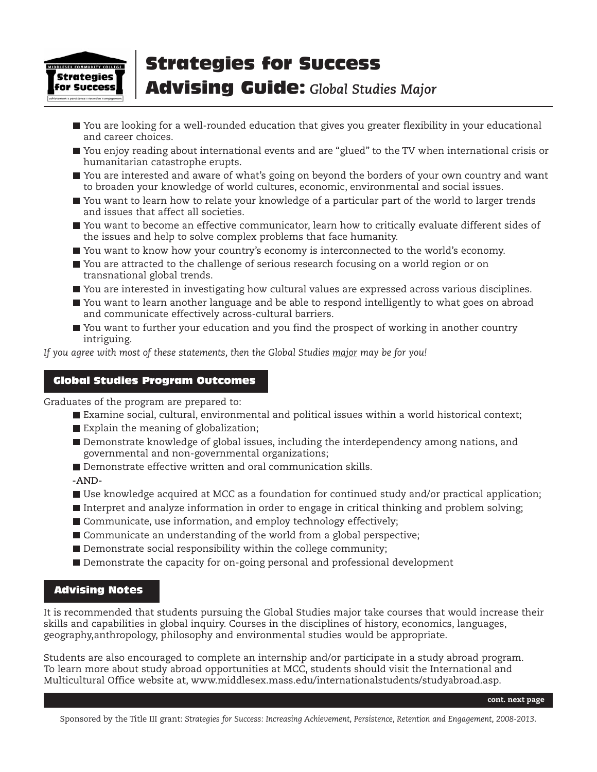

# Strategies for Success

## Advising Guide: *Global Studies Major*

- You are looking for a well-rounded education that gives you greater flexibility in your educational and career choices.
- You enjoy reading about international events and are "glued" to the TV when international crisis or humanitarian catastrophe erupts.
- You are interested and aware of what's going on beyond the borders of your own country and want to broaden your knowledge of world cultures, economic, environmental and social issues.
- You want to learn how to relate your knowledge of a particular part of the world to larger trends and issues that affect all societies.
- You want to become an effective communicator, learn how to critically evaluate different sides of the issues and help to solve complex problems that face humanity.
- You want to know how your country's economy is interconnected to the world's economy.
- You are attracted to the challenge of serious research focusing on a world region or on transnational global trends.
- You are interested in investigating how cultural values are expressed across various disciplines.
- You want to learn another language and be able to respond intelligently to what goes on abroad and communicate effectively across-cultural barriers.
- You want to further your education and you find the prospect of working in another country intriguing.

*If you agree with most of these statements, then the Global Studies major may be for you!*

## Global Studies Program Outcomes

Graduates of the program are prepared to:

- Examine social, cultural, environmental and political issues within a world historical context;
- Explain the meaning of globalization;
- Demonstrate knowledge of global issues, including the interdependency among nations, and governmental and non-governmental organizations;
- Demonstrate effective written and oral communication skills

**-AND-**

- Use knowledge acquired at MCC as a foundation for continued study and/or practical application;
- Interpret and analyze information in order to engage in critical thinking and problem solving;
- Communicate, use information, and employ technology effectively;
- Communicate an understanding of the world from a global perspective;
- $\blacksquare$  Demonstrate social responsibility within the college community;
- Demonstrate the capacity for on-going personal and professional development

### Advising Notes

It is recommended that students pursuing the Global Studies major take courses that would increase their skills and capabilities in global inquiry. Courses in the disciplines of history, economics, languages, geography,anthropology, philosophy and environmental studies would be appropriate.

Students are also encouraged to complete an internship and/or participate in a study abroad program. To learn more about study abroad opportunities at MCC, students should visit the International and Multicultural Office website at, www.middlesex.mass.edu/internationalstudents/studyabroad.asp.

**cont. next page**

Sponsored by the Title III grant: *Strategies for Success: Increasing Achievement, Persistence, Retention and Engagement, 2008-2013*.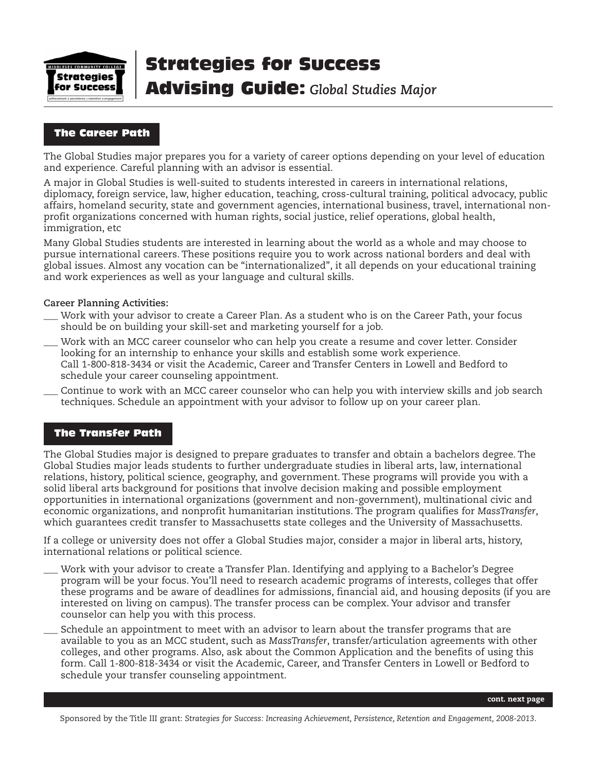

# Strategies for Success

# Advising Guide: *Global Studies Major*

## The Career Path

The Global Studies major prepares you for a variety of career options depending on your level of education and experience. Careful planning with an advisor is essential.

A major in Global Studies is well-suited to students interested in careers in international relations, diplomacy, foreign service, law, higher education, teaching, cross-cultural training, political advocacy, public affairs, homeland security, state and government agencies, international business, travel, international nonprofit organizations concerned with human rights, social justice, relief operations, global health, immigration, etc

Many Global Studies students are interested in learning about the world as a whole and may choose to pursue international careers. These positions require you to work across national borders and deal with global issues. Almost any vocation can be "internationalized", it all depends on your educational training and work experiences as well as your language and cultural skills.

#### **Career Planning Activities:**

- Work with your advisor to create a Career Plan. As a student who is on the Career Path, your focus should be on building your skill-set and marketing yourself for a job.
- Work with an MCC career counselor who can help you create a resume and cover letter. Consider looking for an internship to enhance your skills and establish some work experience. Call 1-800-818-3434 or visit the Academic, Career and Transfer Centers in Lowell and Bedford to schedule your career counseling appointment.
- \_\_\_ Continue to work with an MCC career counselor who can help you with interview skills and job search techniques. Schedule an appointment with your advisor to follow up on your career plan.

### The Transfer Path

The Global Studies major is designed to prepare graduates to transfer and obtain a bachelors degree. The Global Studies major leads students to further undergraduate studies in liberal arts, law, international relations, history, political science, geography, and government. These programs will provide you with a solid liberal arts background for positions that involve decision making and possible employment opportunities in international organizations (government and non-government), multinational civic and economic organizations, and nonprofit humanitarian institutions. The program qualifies for *MassTransfer*, which guarantees credit transfer to Massachusetts state colleges and the University of Massachusetts.

If a college or university does not offer a Global Studies major, consider a major in liberal arts, history, international relations or political science.

- \_\_\_ Work with your advisor to create a Transfer Plan. Identifying and applying to a Bachelor's Degree program will be your focus. You'll need to research academic programs of interests, colleges that offer these programs and be aware of deadlines for admissions, financial aid, and housing deposits (if you are interested on living on campus). The transfer process can be complex. Your advisor and transfer counselor can help you with this process.
- Schedule an appointment to meet with an advisor to learn about the transfer programs that are available to you as an MCC student, such as *MassTransfer*, transfer/articulation agreements with other colleges, and other programs. Also, ask about the Common Application and the benefits of using this form. Call 1-800-818-3434 or visit the Academic, Career, and Transfer Centers in Lowell or Bedford to schedule your transfer counseling appointment.